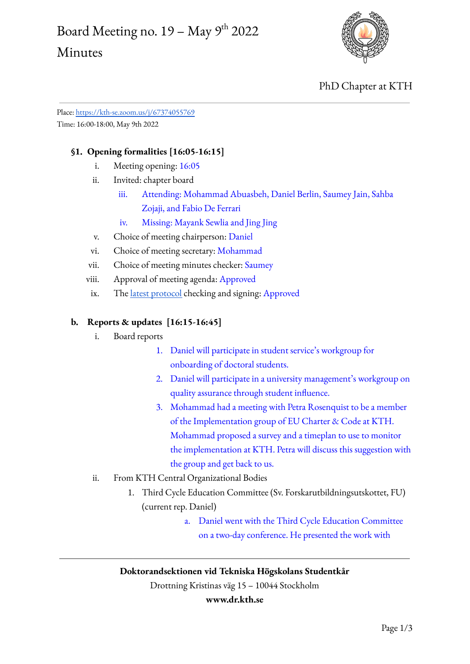# Board Meeting no.  $19$  – May  $9^{\text{th}}$  2022 Minutes



## PhD Chapter at KTH

Place: <https://kth-se.zoom.us/j/67374055769> Time: 16:00-18:00, May 9th 2022

### **§1. Opening formalities [16:05-16:15]**

- i. Meeting opening: 16:05
- ii. Invited: chapter board
	- iii. Attending: Mohammad Abuasbeh, Daniel Berlin, Saumey Jain, Sahba Zojaji, and Fabio De Ferrari
	- iv. Missing: Mayank Sewlia and Jing Jing
- v. Choice of meeting chairperson: Daniel
- vi. Choice of meeting secretary: Mohammad
- vii. Choice of meeting minutes checker: Saumey
- viii. Approval of meeting agenda: Approved
- ix. The latest [protocol](https://www.dr.kth.se/wp-content/uploads/sites/6/2022/05/Board-Meeting-20220425-Minutes.docx.pdf) checking and signing: Approved

#### **b. Reports & updates [16:15-16:45]**

- i. Board reports
	- 1. Daniel will participate in student service's workgroup for onboarding of doctoral students.
	- 2. Daniel will participate in a university management's workgroup on quality assurance through student influence.
	- 3. Mohammad had a meeting with Petra Rosenquist to be a member of the Implementation group of EU Charter & Code at KTH. Mohammad proposed a survey and a timeplan to use to monitor the implementation at KTH. Petra will discuss this suggestion with the group and get back to us.

#### ii. From KTH Central Organizational Bodies

- 1. Third Cycle Education Committee (Sv. Forskarutbildningsutskottet, FU) (current rep. Daniel)
	- a. Daniel went with the Third Cycle Education Committee on a two-day conference. He presented the work with

#### **Doktorandsektionen vid Tekniska Högskolans Studentkår**

Drottning Kristinas väg 15 – 10044 Stockholm

#### **www.dr.kth.se**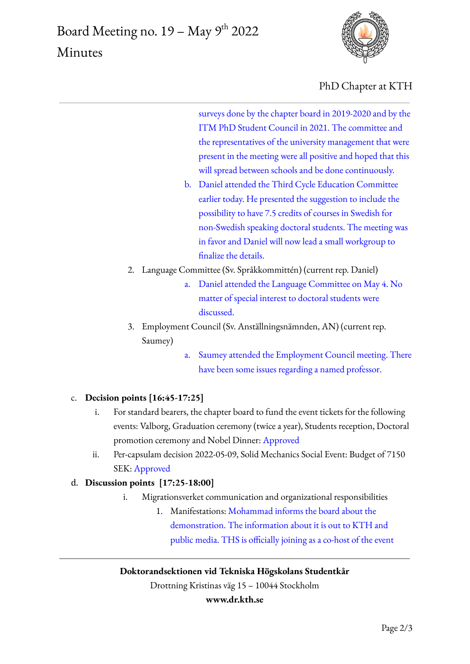

PhD Chapter at KTH

surveys done by the chapter board in 2019-2020 and by the ITM PhD Student Council in 2021. The committee and the representatives of the university management that were present in the meeting were all positive and hoped that this will spread between schools and be done continuously.

- b. Daniel attended the Third Cycle Education Committee earlier today. He presented the suggestion to include the possibility to have 7.5 credits of courses in Swedish for non-Swedish speaking doctoral students. The meeting was in favor and Daniel will now lead a small workgroup to finalize the details.
- 2. Language Committee (Sv. Språkkommittén) (current rep. Daniel)
	- a. Daniel attended the Language Committee on May 4. No matter of special interest to doctoral students were discussed.
- 3. Employment Council (Sv. Anställningsnämnden, AN) (current rep. Saumey)
	- a. Saumey attended the Employment Council meeting. There have been some issues regarding a named professor.

## c. **Decision points [16:45-17:25]**

- i. For standard bearers, the chapter board to fund the event tickets for the following events: Valborg, Graduation ceremony (twice a year), Students reception, Doctoral promotion ceremony and Nobel Dinner: Approved
- ii. Per-capsulam decision 2022-05-09, Solid Mechanics Social Event: Budget of 7150 SEK: Approved

## d. **Discussion points [17:25-18:00]**

- i. Migrationsverket communication and organizational responsibilities
	- 1. Manifestations: Mohammad informs the board about the demonstration. The information about it is out to KTH and public media. THS is officially joining as a co-host of the event

## **Doktorandsektionen vid Tekniska Högskolans Studentkår**

Drottning Kristinas väg 15 – 10044 Stockholm

#### **www.dr.kth.se**